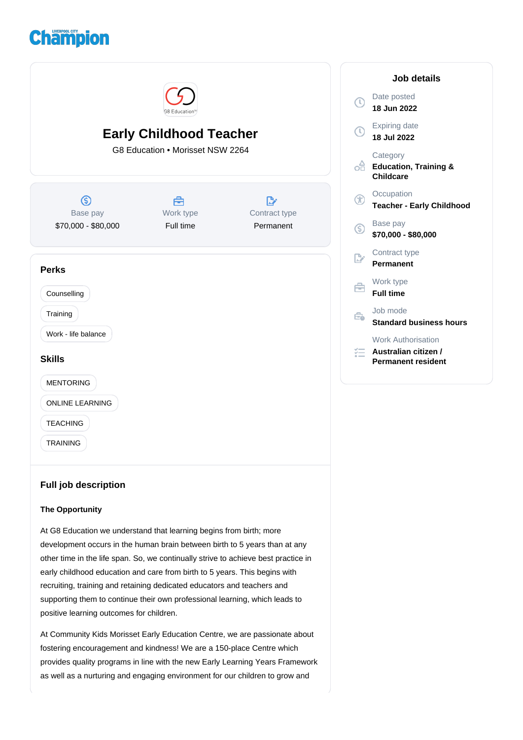



# **The Opportunity**

At G8 Education we understand that learning begins from birth; more development occurs in the human brain between birth to 5 years than at any other time in the life span. So, we continually strive to achieve best practice in early childhood education and care from birth to 5 years. This begins with recruiting, training and retaining dedicated educators and teachers and supporting them to continue their own professional learning, which leads to positive learning outcomes for children.

At Community Kids Morisset Early Education Centre, we are passionate about fostering encouragement and kindness! We are a 150-place Centre which provides quality programs in line with the new Early Learning Years Framework as well as a nurturing and engaging environment for our children to grow and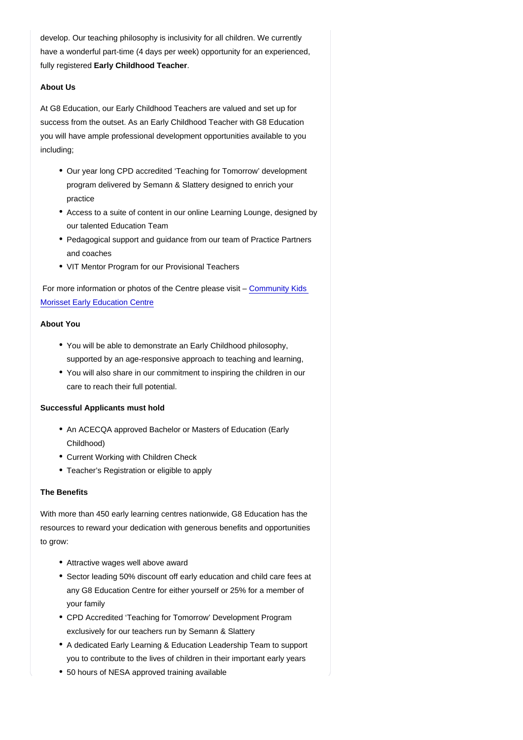develop. Our teaching philosophy is inclusivity for all children. We currently have a wonderful part-time (4 days per week) opportunity for an experienced, fully registered Early Childhood Teacher .

## About Us

At G8 Education, our Early Childhood Teachers are valued and set up for success from the outset. As an Early Childhood Teacher with G8 Education you will have ample professional development opportunities available to you including;

- Our year long CPD accredited 'Teaching for Tomorrow' development program delivered by Semann & Slattery designed to enrich your practice
- Access to a suite of content in our online Learning Lounge, designed by our talented Education Team
- Pedagogical support and guidance from our team of Practice Partners and coaches
- VIT Mentor Program for our Provisional Teachers

 For more information or photos of the Centre please visit – [Community Kids](https://www.communitykids.com.au/find-childcare-near-you/childcare-morisset?utm_source=google&utm_medium=organic&utm_campaign=gmb)  [Morisset Early Education Centre](https://www.communitykids.com.au/find-childcare-near-you/childcare-morisset?utm_source=google&utm_medium=organic&utm_campaign=gmb)

#### About You

- You will be able to demonstrate an Early Childhood philosophy, supported by an age-responsive approach to teaching and learning,
- You will also share in our commitment to inspiring the children in our care to reach their full potential.

Successful Applicants must hold

- An ACECQA approved Bachelor or Masters of Education (Early Childhood)
- Current Working with Children Check
- Teacher's Registration or eligible to apply

### The Benefits

With more than 450 early learning centres nationwide, G8 Education has the resources to reward your dedication with generous benefits and opportunities to grow:

- Attractive wages well above award
- Sector leading 50% discount off early education and child care fees at any G8 Education Centre for either yourself or 25% for a member of your family
- CPD Accredited 'Teaching for Tomorrow' Development Program exclusively for our teachers run by Semann & Slattery
- A dedicated Early Learning & Education Leadership Team to support you to contribute to the lives of children in their important early years
- 50 hours of NESA approved training available